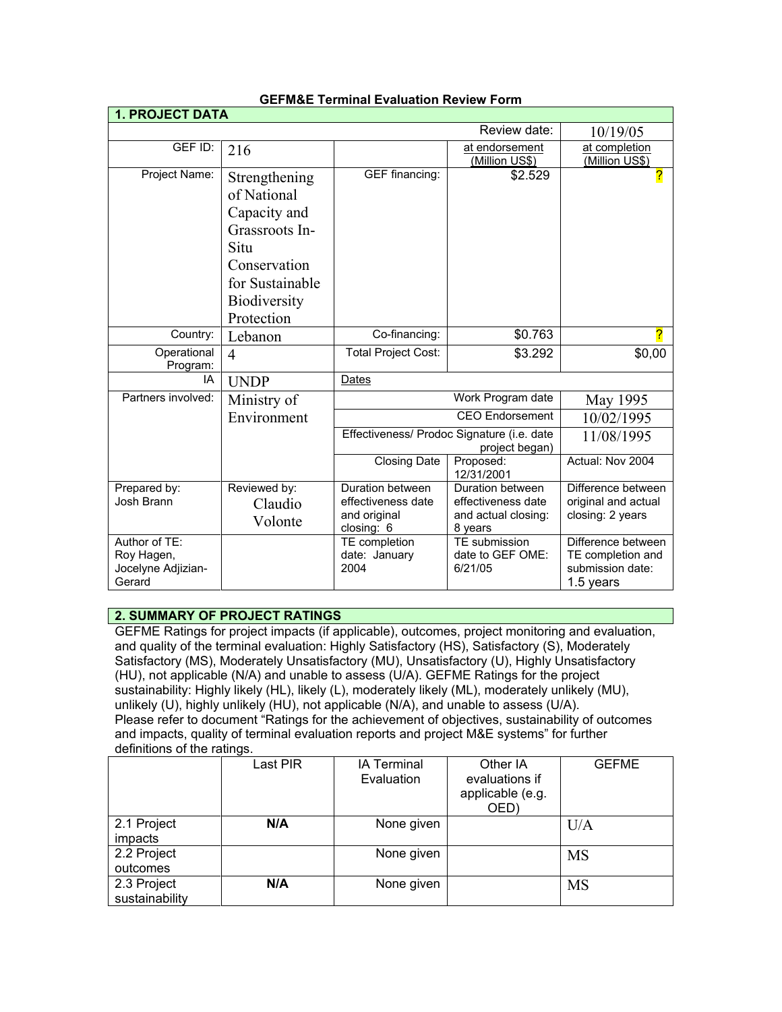| <b>1. PROJECT DATA</b>                      |                                                                                                                                         |                                                                                        |                                                                                           |                                                                                     |
|---------------------------------------------|-----------------------------------------------------------------------------------------------------------------------------------------|----------------------------------------------------------------------------------------|-------------------------------------------------------------------------------------------|-------------------------------------------------------------------------------------|
|                                             |                                                                                                                                         |                                                                                        | Review date:                                                                              | 10/19/05                                                                            |
| GEF ID:                                     | 216                                                                                                                                     |                                                                                        | at endorsement<br>(Million US\$)                                                          | at completion<br>(Million US\$)                                                     |
| Project Name:                               | Strengthening<br>of National<br>Capacity and<br>Grassroots In-<br>Situ<br>Conservation<br>for Sustainable<br>Biodiversity<br>Protection | GEF financing:                                                                         | \$2.529                                                                                   | <mark>?</mark>                                                                      |
| Country:                                    | Lebanon                                                                                                                                 | Co-financing:                                                                          | \$0.763                                                                                   | <u>?</u>                                                                            |
| Operational<br>Program:                     | $\overline{4}$                                                                                                                          | <b>Total Project Cost:</b>                                                             | \$3.292                                                                                   | \$0,00                                                                              |
| IA                                          | <b>UNDP</b>                                                                                                                             | Dates                                                                                  |                                                                                           |                                                                                     |
| Partners involved:                          | Ministry of                                                                                                                             |                                                                                        | Work Program date                                                                         | May 1995                                                                            |
|                                             | Environment                                                                                                                             | <b>CEO Endorsement</b><br>Effectiveness/ Prodoc Signature (i.e. date<br>project began) |                                                                                           | 10/02/1995                                                                          |
|                                             |                                                                                                                                         |                                                                                        |                                                                                           | 11/08/1995                                                                          |
|                                             |                                                                                                                                         | <b>Closing Date</b>                                                                    | Proposed:<br>12/31/2001                                                                   | Actual: Nov 2004                                                                    |
| Prepared by:<br>Josh Brann<br>Author of TE: | Reviewed by:<br>Claudio<br>Volonte                                                                                                      | Duration between<br>effectiveness date<br>and original<br>closing: 6<br>TE completion  | Duration between<br>effectiveness date<br>and actual closing:<br>8 years<br>TE submission | Difference between<br>original and actual<br>closing: 2 years<br>Difference between |
| Roy Hagen,<br>Jocelyne Adjizian-<br>Gerard  |                                                                                                                                         | date: January<br>2004                                                                  | date to GEF OME:<br>6/21/05                                                               | TE completion and<br>submission date:<br>1.5 years                                  |

## **GEFM&E Terminal Evaluation Review Form**

## **2. SUMMARY OF PROJECT RATINGS**

GEFME Ratings for project impacts (if applicable), outcomes, project monitoring and evaluation, and quality of the terminal evaluation: Highly Satisfactory (HS), Satisfactory (S), Moderately Satisfactory (MS), Moderately Unsatisfactory (MU), Unsatisfactory (U), Highly Unsatisfactory (HU), not applicable (N/A) and unable to assess (U/A). GEFME Ratings for the project sustainability: Highly likely (HL), likely (L), moderately likely (ML), moderately unlikely (MU), unlikely (U), highly unlikely (HU), not applicable (N/A), and unable to assess (U/A). Please refer to document "Ratings for the achievement of objectives, sustainability of outcomes and impacts, quality of terminal evaluation reports and project M&E systems" for further definitions of the ratings.

|                               | Last PIR | <b>IA Terminal</b><br>Evaluation | Other IA<br>evaluations if<br>applicable (e.g.<br>OED) | <b>GEFME</b> |
|-------------------------------|----------|----------------------------------|--------------------------------------------------------|--------------|
| 2.1 Project<br>impacts        | N/A      | None given                       |                                                        | U/A          |
| 2.2 Project<br>outcomes       |          | None given                       |                                                        | <b>MS</b>    |
| 2.3 Project<br>sustainability | N/A      | None given                       |                                                        | <b>MS</b>    |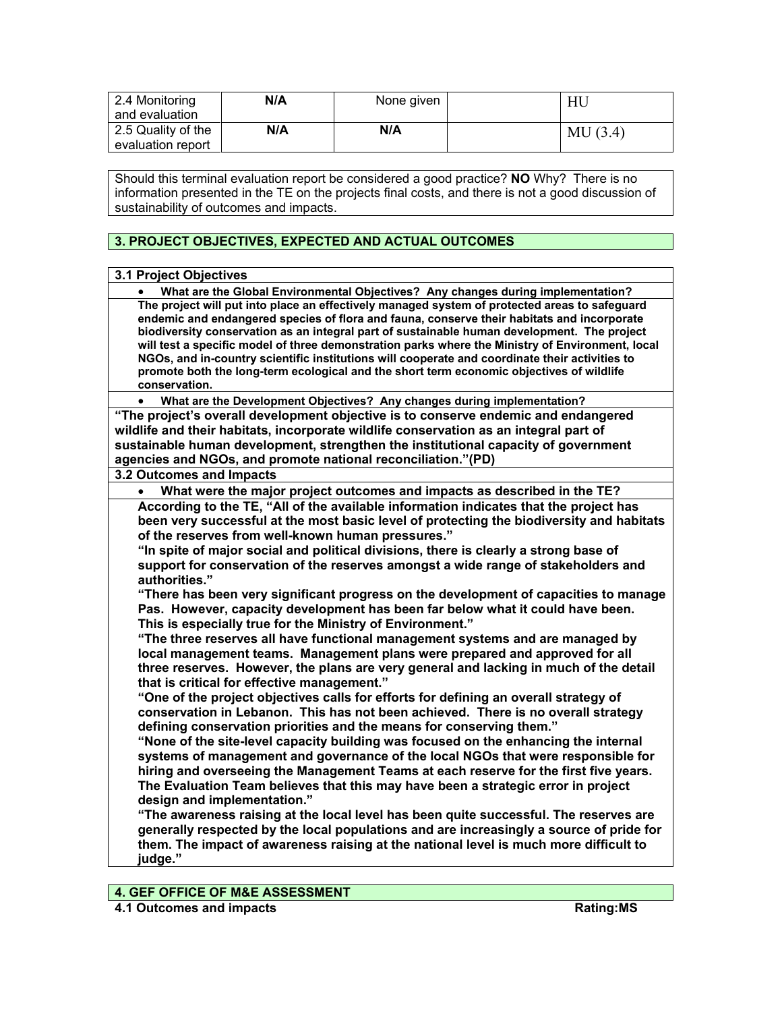| 2.4 Monitoring<br>and evaluation        | N/A | None given |         |
|-----------------------------------------|-----|------------|---------|
| 2.5 Quality of the<br>evaluation report | N/A | N/A        | MU(3.4) |

Should this terminal evaluation report be considered a good practice? **NO** Why? There is no information presented in the TE on the projects final costs, and there is not a good discussion of sustainability of outcomes and impacts.

# **3. PROJECT OBJECTIVES, EXPECTED AND ACTUAL OUTCOMES**

| <b>3.1 Project Objectives</b>                                                                                                                                                                                                                                                                                                                                                                                                                                                                                                                                                                                                                                                                                                                                                                                                                                                                                                                                                                                                                                                                                                                                                                                                                                                                                                                                                                                                                                                                   |
|-------------------------------------------------------------------------------------------------------------------------------------------------------------------------------------------------------------------------------------------------------------------------------------------------------------------------------------------------------------------------------------------------------------------------------------------------------------------------------------------------------------------------------------------------------------------------------------------------------------------------------------------------------------------------------------------------------------------------------------------------------------------------------------------------------------------------------------------------------------------------------------------------------------------------------------------------------------------------------------------------------------------------------------------------------------------------------------------------------------------------------------------------------------------------------------------------------------------------------------------------------------------------------------------------------------------------------------------------------------------------------------------------------------------------------------------------------------------------------------------------|
| What are the Global Environmental Objectives? Any changes during implementation?                                                                                                                                                                                                                                                                                                                                                                                                                                                                                                                                                                                                                                                                                                                                                                                                                                                                                                                                                                                                                                                                                                                                                                                                                                                                                                                                                                                                                |
| The project will put into place an effectively managed system of protected areas to safeguard<br>endemic and endangered species of flora and fauna, conserve their habitats and incorporate<br>biodiversity conservation as an integral part of sustainable human development. The project<br>will test a specific model of three demonstration parks where the Ministry of Environment, local<br>NGOs, and in-country scientific institutions will cooperate and coordinate their activities to<br>promote both the long-term ecological and the short term economic objectives of wildlife<br>conservation.                                                                                                                                                                                                                                                                                                                                                                                                                                                                                                                                                                                                                                                                                                                                                                                                                                                                                   |
| What are the Development Objectives? Any changes during implementation?<br>$\bullet$                                                                                                                                                                                                                                                                                                                                                                                                                                                                                                                                                                                                                                                                                                                                                                                                                                                                                                                                                                                                                                                                                                                                                                                                                                                                                                                                                                                                            |
| "The project's overall development objective is to conserve endemic and endangered<br>wildlife and their habitats, incorporate wildlife conservation as an integral part of<br>sustainable human development, strengthen the institutional capacity of government<br>agencies and NGOs, and promote national reconciliation."(PD)                                                                                                                                                                                                                                                                                                                                                                                                                                                                                                                                                                                                                                                                                                                                                                                                                                                                                                                                                                                                                                                                                                                                                               |
| 3.2 Outcomes and Impacts                                                                                                                                                                                                                                                                                                                                                                                                                                                                                                                                                                                                                                                                                                                                                                                                                                                                                                                                                                                                                                                                                                                                                                                                                                                                                                                                                                                                                                                                        |
|                                                                                                                                                                                                                                                                                                                                                                                                                                                                                                                                                                                                                                                                                                                                                                                                                                                                                                                                                                                                                                                                                                                                                                                                                                                                                                                                                                                                                                                                                                 |
| What were the major project outcomes and impacts as described in the TE?<br>According to the TE, "All of the available information indicates that the project has<br>been very successful at the most basic level of protecting the biodiversity and habitats<br>of the reserves from well-known human pressures."<br>"In spite of major social and political divisions, there is clearly a strong base of<br>support for conservation of the reserves amongst a wide range of stakeholders and<br>authorities."<br>"There has been very significant progress on the development of capacities to manage<br>Pas. However, capacity development has been far below what it could have been.<br>This is especially true for the Ministry of Environment."<br>"The three reserves all have functional management systems and are managed by<br>local management teams. Management plans were prepared and approved for all<br>three reserves. However, the plans are very general and lacking in much of the detail<br>that is critical for effective management."<br>"One of the project objectives calls for efforts for defining an overall strategy of<br>conservation in Lebanon. This has not been achieved. There is no overall strategy<br>defining conservation priorities and the means for conserving them."<br>"None of the site-level capacity building was focused on the enhancing the internal<br>systems of management and governance of the local NGOs that were responsible for |
| hiring and overseeing the Management Teams at each reserve for the first five years.<br>The Evaluation Team believes that this may have been a strategic error in project<br>design and implementation."<br>"The awareness raising at the local level has been quite successful. The reserves are<br>generally respected by the local populations and are increasingly a source of pride for<br>them. The impact of awareness raising at the national level is much more difficult to<br>judge."                                                                                                                                                                                                                                                                                                                                                                                                                                                                                                                                                                                                                                                                                                                                                                                                                                                                                                                                                                                                |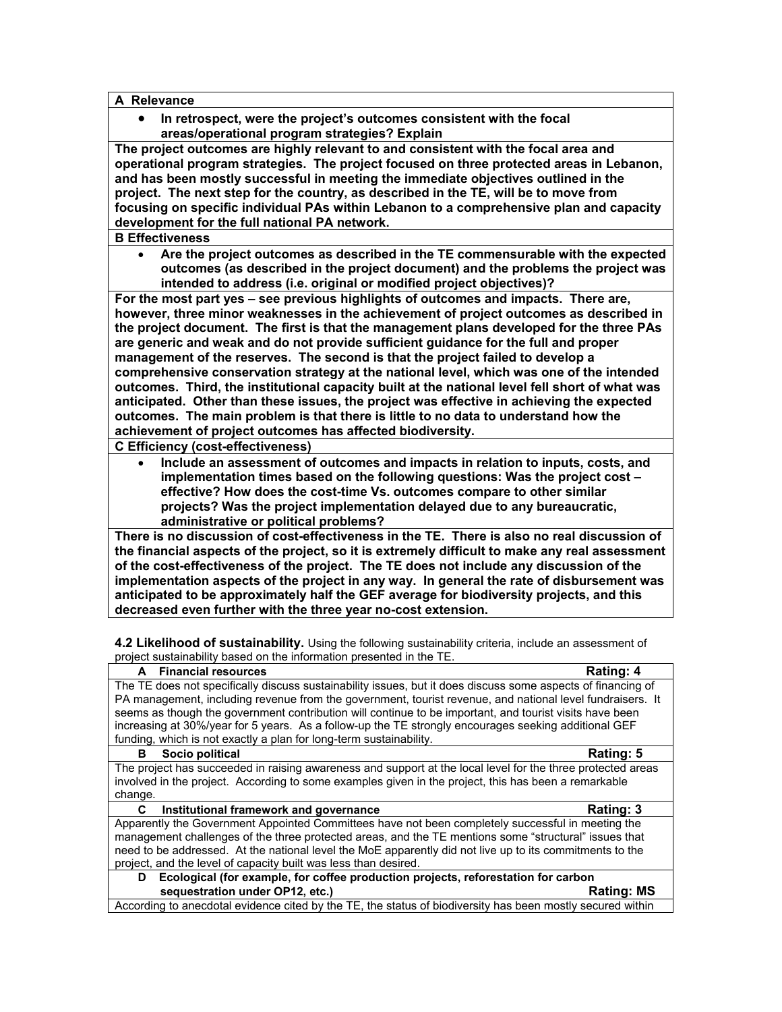#### **A Relevance**

• **In retrospect, were the project's outcomes consistent with the focal areas/operational program strategies? Explain**

**The project outcomes are highly relevant to and consistent with the focal area and operational program strategies. The project focused on three protected areas in Lebanon, and has been mostly successful in meeting the immediate objectives outlined in the project. The next step for the country, as described in the TE, will be to move from focusing on specific individual PAs within Lebanon to a comprehensive plan and capacity development for the full national PA network.** 

#### **B Effectiveness**

• **Are the project outcomes as described in the TE commensurable with the expected outcomes (as described in the project document) and the problems the project was intended to address (i.e. original or modified project objectives)?** 

**For the most part yes – see previous highlights of outcomes and impacts. There are, however, three minor weaknesses in the achievement of project outcomes as described in the project document. The first is that the management plans developed for the three PAs are generic and weak and do not provide sufficient guidance for the full and proper management of the reserves. The second is that the project failed to develop a comprehensive conservation strategy at the national level, which was one of the intended outcomes. Third, the institutional capacity built at the national level fell short of what was anticipated. Other than these issues, the project was effective in achieving the expected outcomes. The main problem is that there is little to no data to understand how the achievement of project outcomes has affected biodiversity.** 

**C Efficiency (cost-effectiveness)** 

• **Include an assessment of outcomes and impacts in relation to inputs, costs, and implementation times based on the following questions: Was the project cost – effective? How does the cost-time Vs. outcomes compare to other similar projects? Was the project implementation delayed due to any bureaucratic, administrative or political problems?**

**There is no discussion of cost-effectiveness in the TE. There is also no real discussion of the financial aspects of the project, so it is extremely difficult to make any real assessment of the cost-effectiveness of the project. The TE does not include any discussion of the implementation aspects of the project in any way. In general the rate of disbursement was anticipated to be approximately half the GEF average for biodiversity projects, and this decreased even further with the three year no-cost extension.** 

**4.2 Likelihood of sustainability.** Using the following sustainability criteria, include an assessment of project sustainability based on the information presented in the TE.

| <b>Financial resources</b><br>A                                                                              | Rating: 4         |  |  |
|--------------------------------------------------------------------------------------------------------------|-------------------|--|--|
| The TE does not specifically discuss sustainability issues, but it does discuss some aspects of financing of |                   |  |  |
| PA management, including revenue from the government, tourist revenue, and national level fundraisers. It    |                   |  |  |
| seems as though the government contribution will continue to be important, and tourist visits have been      |                   |  |  |
| increasing at 30%/year for 5 years. As a follow-up the TE strongly encourages seeking additional GEF         |                   |  |  |
| funding, which is not exactly a plan for long-term sustainability.                                           |                   |  |  |
| Socio political<br>в                                                                                         | Rating: 5         |  |  |
| The project has succeeded in raising awareness and support at the local level for the three protected areas  |                   |  |  |
| involved in the project. According to some examples given in the project, this has been a remarkable         |                   |  |  |
| change.                                                                                                      |                   |  |  |
| Institutional framework and governance<br>C                                                                  | Rating: 3         |  |  |
| Apparently the Government Appointed Committees have not been completely successful in meeting the            |                   |  |  |
| management challenges of the three protected areas, and the TE mentions some "structural" issues that        |                   |  |  |
| need to be addressed. At the national level the MoE apparently did not live up to its commitments to the     |                   |  |  |
| project, and the level of capacity built was less than desired.                                              |                   |  |  |
| Ecological (for example, for coffee production projects, reforestation for carbon<br>D                       |                   |  |  |
| sequestration under OP12, etc.)                                                                              | <b>Rating: MS</b> |  |  |
| According to anecdotal evidence cited by the TE, the status of biodiversity has been mostly secured within   |                   |  |  |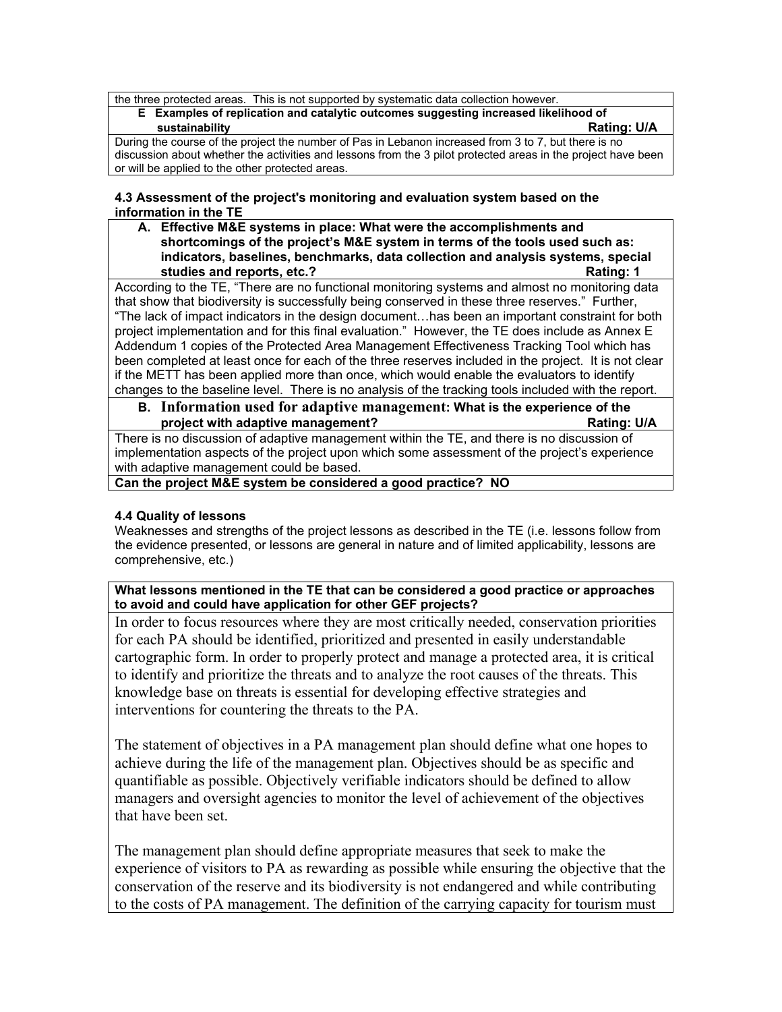the three protected areas. This is not supported by systematic data collection however.

**E Examples of replication and catalytic outcomes suggesting increased likelihood of sustainability Rating: U/A**

During the course of the project the number of Pas in Lebanon increased from 3 to 7, but there is no discussion about whether the activities and lessons from the 3 pilot protected areas in the project have been or will be applied to the other protected areas.

## **4.3 Assessment of the project's monitoring and evaluation system based on the information in the TE**

**A. Effective M&E systems in place: What were the accomplishments and shortcomings of the project's M&E system in terms of the tools used such as: indicators, baselines, benchmarks, data collection and analysis systems, special studies and reports, etc.? Rating: 1**

According to the TE, "There are no functional monitoring systems and almost no monitoring data that show that biodiversity is successfully being conserved in these three reserves." Further, "The lack of impact indicators in the design document…has been an important constraint for both project implementation and for this final evaluation." However, the TE does include as Annex E Addendum 1 copies of the Protected Area Management Effectiveness Tracking Tool which has been completed at least once for each of the three reserves included in the project. It is not clear if the METT has been applied more than once, which would enable the evaluators to identify changes to the baseline level. There is no analysis of the tracking tools included with the report.

**B. Information used for adaptive management: What is the experience of the project with adaptive management? Rating: U/A**

There is no discussion of adaptive management within the TE, and there is no discussion of implementation aspects of the project upon which some assessment of the project's experience with adaptive management could be based.

**Can the project M&E system be considered a good practice? NO**

## **4.4 Quality of lessons**

Weaknesses and strengths of the project lessons as described in the TE (i.e. lessons follow from the evidence presented, or lessons are general in nature and of limited applicability, lessons are comprehensive, etc.)

**What lessons mentioned in the TE that can be considered a good practice or approaches to avoid and could have application for other GEF projects?**

In order to focus resources where they are most critically needed, conservation priorities for each PA should be identified, prioritized and presented in easily understandable cartographic form. In order to properly protect and manage a protected area, it is critical to identify and prioritize the threats and to analyze the root causes of the threats. This knowledge base on threats is essential for developing effective strategies and interventions for countering the threats to the PA.

The statement of objectives in a PA management plan should define what one hopes to achieve during the life of the management plan. Objectives should be as specific and quantifiable as possible. Objectively verifiable indicators should be defined to allow managers and oversight agencies to monitor the level of achievement of the objectives that have been set.

The management plan should define appropriate measures that seek to make the experience of visitors to PA as rewarding as possible while ensuring the objective that the conservation of the reserve and its biodiversity is not endangered and while contributing to the costs of PA management. The definition of the carrying capacity for tourism must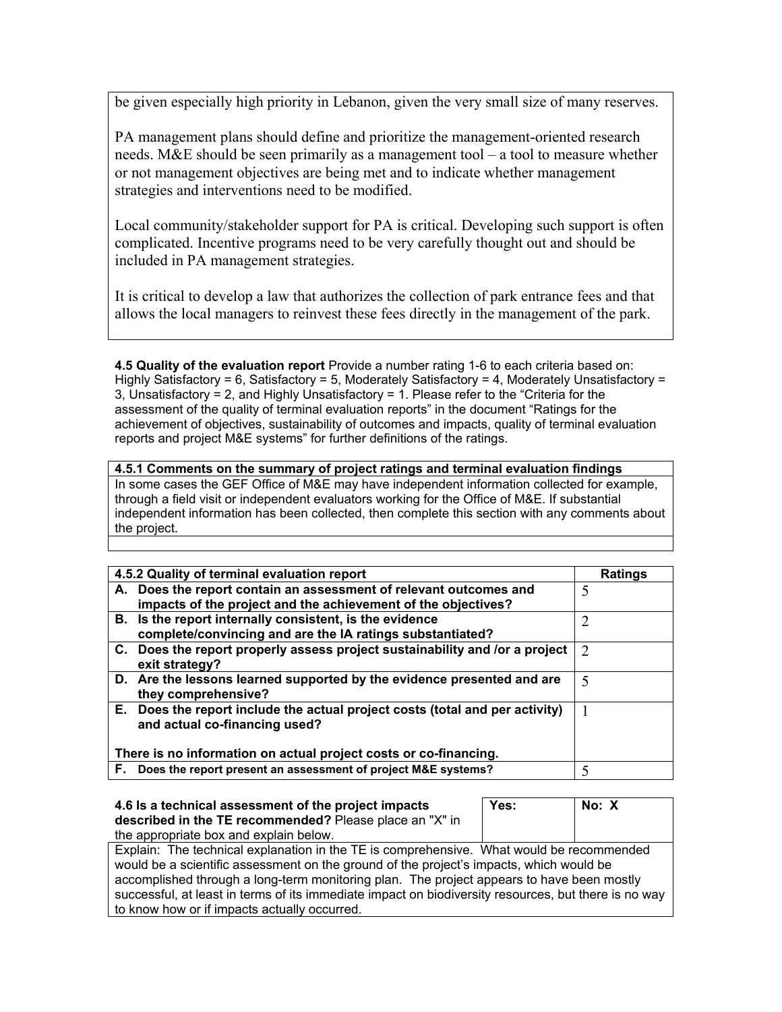be given especially high priority in Lebanon, given the very small size of many reserves.

PA management plans should define and prioritize the management-oriented research needs. M&E should be seen primarily as a management tool – a tool to measure whether or not management objectives are being met and to indicate whether management strategies and interventions need to be modified.

Local community/stakeholder support for PA is critical. Developing such support is often complicated. Incentive programs need to be very carefully thought out and should be included in PA management strategies.

It is critical to develop a law that authorizes the collection of park entrance fees and that allows the local managers to reinvest these fees directly in the management of the park.

**4.5 Quality of the evaluation report** Provide a number rating 1-6 to each criteria based on: Highly Satisfactory = 6, Satisfactory = 5, Moderately Satisfactory = 4, Moderately Unsatisfactory = 3, Unsatisfactory = 2, and Highly Unsatisfactory = 1. Please refer to the "Criteria for the assessment of the quality of terminal evaluation reports" in the document "Ratings for the achievement of objectives, sustainability of outcomes and impacts, quality of terminal evaluation reports and project M&E systems" for further definitions of the ratings.

## **4.5.1 Comments on the summary of project ratings and terminal evaluation findings** In some cases the GEF Office of M&E may have independent information collected for example, through a field visit or independent evaluators working for the Office of M&E. If substantial independent information has been collected, then complete this section with any comments about the project.

| 4.5.2 Quality of terminal evaluation report                                                                                        | <b>Ratings</b> |
|------------------------------------------------------------------------------------------------------------------------------------|----------------|
| A. Does the report contain an assessment of relevant outcomes and<br>impacts of the project and the achievement of the objectives? | 5              |
| B. Is the report internally consistent, is the evidence<br>complete/convincing and are the IA ratings substantiated?               |                |
| C. Does the report properly assess project sustainability and /or a project<br>exit strategy?                                      | 2              |
| D. Are the lessons learned supported by the evidence presented and are<br>they comprehensive?                                      | 5              |
| E. Does the report include the actual project costs (total and per activity)<br>and actual co-financing used?                      |                |
| There is no information on actual project costs or co-financing.                                                                   |                |
| Does the report present an assessment of project M&E systems?<br>E.                                                                | $\varsigma$    |

| 4.6 Is a technical assessment of the project impacts<br>described in the TE recommended? Please place an "X" in | Yes: | No: X |  |
|-----------------------------------------------------------------------------------------------------------------|------|-------|--|
| the appropriate box and explain below.                                                                          |      |       |  |
| Explain: The technical explanation in the TE is comprehensive. What would be recommended                        |      |       |  |
| would be a scientific assessment on the ground of the project's impacts, which would be                         |      |       |  |
| accomplished through a long-term monitoring plan. The project appears to have been mostly                       |      |       |  |
| successful, at least in terms of its immediate impact on biodiversity resources, but there is no way            |      |       |  |
| to know how or if impacts actually occurred.                                                                    |      |       |  |